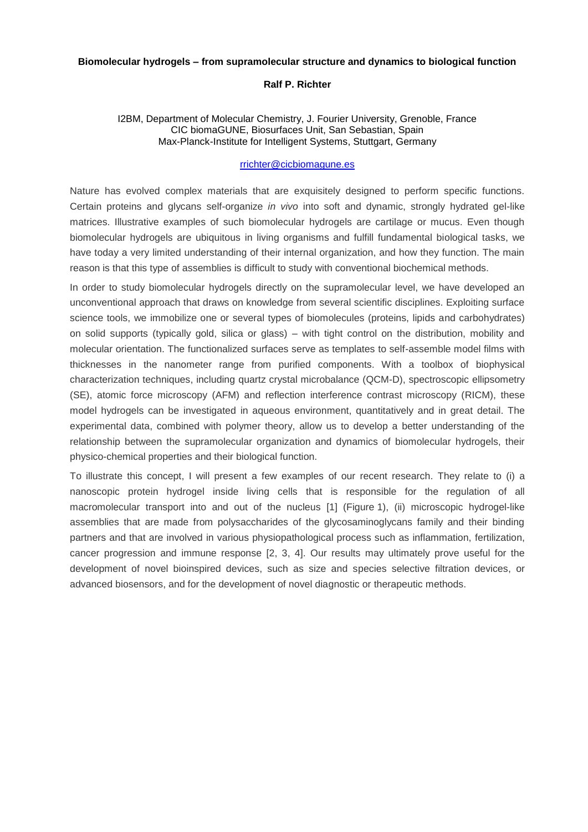## **Biomolecular hydrogels – from supramolecular structure and dynamics to biological function**

# **Ralf P. Richter**

## I2BM, Department of Molecular Chemistry, J. Fourier University, Grenoble, France CIC biomaGUNE, Biosurfaces Unit, San Sebastian, Spain Max-Planck-Institute for Intelligent Systems, Stuttgart, Germany

# [rrichter@cicbiomagune.es](mailto:rrichter@cicbiomagune.es)

Nature has evolved complex materials that are exquisitely designed to perform specific functions. Certain proteins and glycans self-organize *in vivo* into soft and dynamic, strongly hydrated gel-like matrices. Illustrative examples of such biomolecular hydrogels are cartilage or mucus. Even though biomolecular hydrogels are ubiquitous in living organisms and fulfill fundamental biological tasks, we have today a very limited understanding of their internal organization, and how they function. The main reason is that this type of assemblies is difficult to study with conventional biochemical methods.

In order to study biomolecular hydrogels directly on the supramolecular level, we have developed an unconventional approach that draws on knowledge from several scientific disciplines. Exploiting surface science tools, we immobilize one or several types of biomolecules (proteins, lipids and carbohydrates) on solid supports (typically gold, silica or glass) – with tight control on the distribution, mobility and molecular orientation. The functionalized surfaces serve as templates to self-assemble model films with thicknesses in the nanometer range from purified components. With a toolbox of biophysical characterization techniques, including quartz crystal microbalance (QCM-D), spectroscopic ellipsometry (SE), atomic force microscopy (AFM) and reflection interference contrast microscopy (RICM), these model hydrogels can be investigated in aqueous environment, quantitatively and in great detail. The experimental data, combined with polymer theory, allow us to develop a better understanding of the relationship between the supramolecular organization and dynamics of biomolecular hydrogels, their physico-chemical properties and their biological function.

To illustrate this concept, I will present a few examples of our recent research. They relate to (i) a nanoscopic protein hydrogel inside living cells that is responsible for the regulation of all macromolecular transport into and out of the nucleus [1] (Figure 1), (ii) microscopic hydrogel-like assemblies that are made from polysaccharides of the glycosaminoglycans family and their binding partners and that are involved in various physiopathological process such as inflammation, fertilization, cancer progression and immune response [2, 3, 4]. Our results may ultimately prove useful for the development of novel bioinspired devices, such as size and species selective filtration devices, or advanced biosensors, and for the development of novel diagnostic or therapeutic methods.